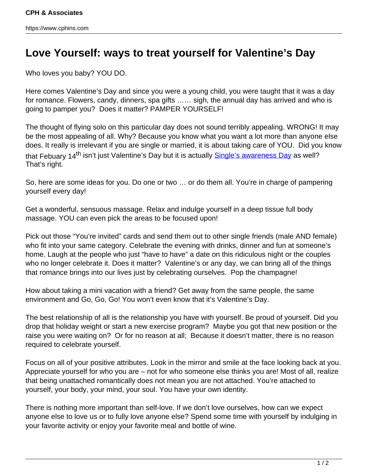## **Love Yourself: ways to treat yourself for Valentine's Day**

Who loves you baby? YOU DO.

Here comes Valentine's Day and since you were a young child, you were taught that it was a day for romance. Flowers, candy, dinners, spa gifts …… sigh, the annual day has arrived and who is going to pamper you? Does it matter? PAMPER YOURSELF!

The thought of flying solo on this particular day does not sound terribly appealing. WRONG! It may be the most appealing of all. Why? Because you know what you want a lot more than anyone else does. It really is irrelevant if you are single or married, it is about taking care of YOU. Did you know that Febuary 14<sup>th</sup> isn't just Valentine's Day but it is actually **Single's awareness Day** as well? That's right.

So, here are some ideas for you. Do one or two … or do them all. You're in charge of pampering yourself every day!

Get a wonderful, sensuous massage. Relax and indulge yourself in a deep tissue full body massage. YOU can even pick the areas to be focused upon!

Pick out those "You're invited" cards and send them out to other single friends (male AND female) who fit into your same category. Celebrate the evening with drinks, dinner and fun at someone's home. Laugh at the people who just "have to have" a date on this ridiculous night or the couples who no longer celebrate it. Does it matter? Valentine's or any day, we can bring all of the things that romance brings into our lives just by celebrating ourselves. Pop the champagne!

How about taking a mini vacation with a friend? Get away from the same people, the same environment and Go, Go, Go! You won't even know that it's Valentine's Day.

The best relationship of all is the relationship you have with yourself. Be proud of yourself. Did you drop that holiday weight or start a new exercise program? Maybe you got that new position or the raise you were waiting on? Or for no reason at all; Because it doesn't matter, there is no reason required to celebrate yourself.

Focus on all of your positive attributes. Look in the mirror and smile at the face looking back at you. Appreciate yourself for who you are – not for who someone else thinks you are! Most of all, realize that being unattached romantically does not mean you are not attached. You're attached to yourself, your body, your mind, your soul. You have your own identity.

There is nothing more important than self-love. If we don't love ourselves, how can we expect anyone else to love us or to fully love anyone else? Spend some time with yourself by indulging in your favorite activity or enjoy your favorite meal and bottle of wine.